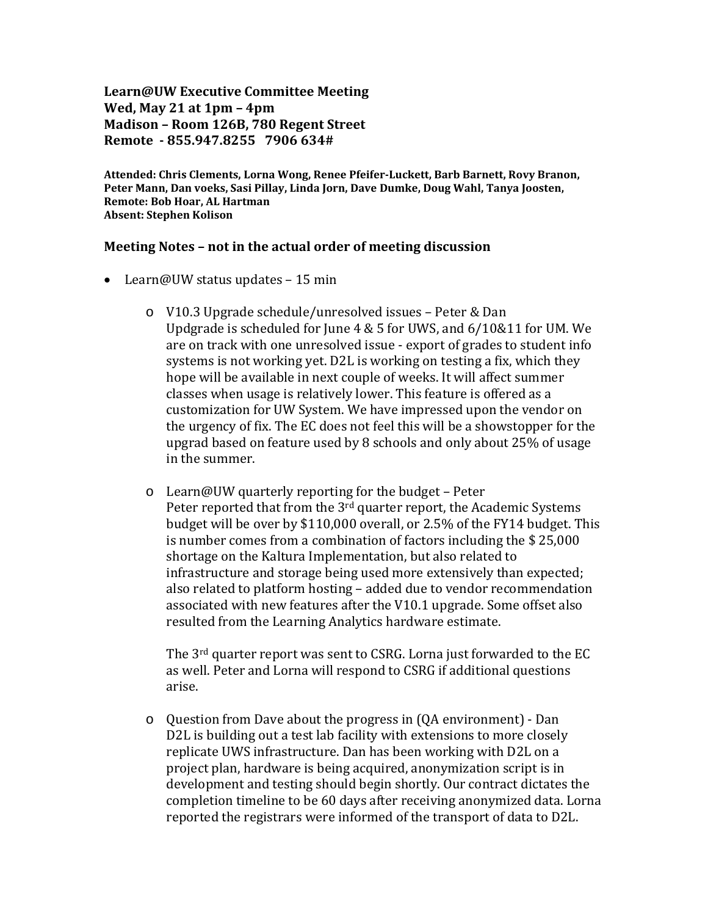**Learn@UW Executive Committee Meeting Wed, May 21 at 1pm – 4pm Madison – Room 126B, 780 Regent Street Remote - 855.947.8255 7906 634#**

**Attended: Chris Clements, Lorna Wong, Renee Pfeifer-Luckett, Barb Barnett, Rovy Branon, Peter Mann, Dan voeks, Sasi Pillay, Linda Jorn, Dave Dumke, Doug Wahl, Tanya Joosten, Remote: Bob Hoar, AL Hartman Absent: Stephen Kolison**

## **Meeting Notes – not in the actual order of meeting discussion**

- Learn@UW status updates 15 min
	- o V10.3 Upgrade schedule/unresolved issues Peter & Dan Updgrade is scheduled for June 4 & 5 for UWS, and 6/10&11 for UM. We are on track with one unresolved issue - export of grades to student info systems is not working yet. D2L is working on testing a fix, which they hope will be available in next couple of weeks. It will affect summer classes when usage is relatively lower. This feature is offered as a customization for UW System. We have impressed upon the vendor on the urgency of fix. The EC does not feel this will be a showstopper for the upgrad based on feature used by 8 schools and only about 25% of usage in the summer.
	- o Learn@UW quarterly reporting for the budget Peter Peter reported that from the 3<sup>rd</sup> quarter report, the Academic Systems budget will be over by \$110,000 overall, or 2.5% of the FY14 budget. This is number comes from a combination of factors including the \$ 25,000 shortage on the Kaltura Implementation, but also related to infrastructure and storage being used more extensively than expected; also related to platform hosting – added due to vendor recommendation associated with new features after the V10.1 upgrade. Some offset also resulted from the Learning Analytics hardware estimate.

The 3rd quarter report was sent to CSRG. Lorna just forwarded to the EC as well. Peter and Lorna will respond to CSRG if additional questions arise.

o Question from Dave about the progress in (QA environment) - Dan D2L is building out a test lab facility with extensions to more closely replicate UWS infrastructure. Dan has been working with D2L on a project plan, hardware is being acquired, anonymization script is in development and testing should begin shortly. Our contract dictates the completion timeline to be 60 days after receiving anonymized data. Lorna reported the registrars were informed of the transport of data to D2L.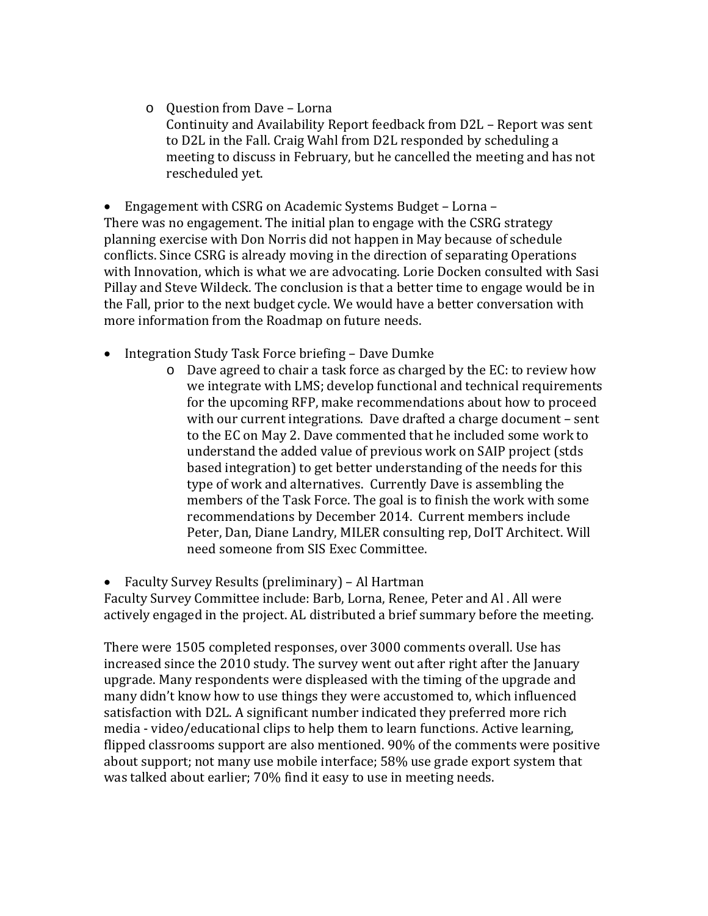o Question from Dave – Lorna Continuity and Availability Report feedback from D2L – Report was sent to D2L in the Fall. Craig Wahl from D2L responded by scheduling a meeting to discuss in February, but he cancelled the meeting and has not rescheduled yet.

• Engagement with CSRG on Academic Systems Budget – Lorna – There was no engagement. The initial plan to engage with the CSRG strategy planning exercise with Don Norris did not happen in May because of schedule conflicts. Since CSRG is already moving in the direction of separating Operations with Innovation, which is what we are advocating. Lorie Docken consulted with Sasi Pillay and Steve Wildeck. The conclusion is that a better time to engage would be in the Fall, prior to the next budget cycle. We would have a better conversation with more information from the Roadmap on future needs.

- Integration Study Task Force briefing Dave Dumke
	- o Dave agreed to chair a task force as charged by the EC: to review how we integrate with LMS; develop functional and technical requirements for the upcoming RFP, make recommendations about how to proceed with our current integrations. Dave drafted a charge document – sent to the EC on May 2. Dave commented that he included some work to understand the added value of previous work on SAIP project (stds based integration) to get better understanding of the needs for this type of work and alternatives. Currently Dave is assembling the members of the Task Force. The goal is to finish the work with some recommendations by December 2014. Current members include Peter, Dan, Diane Landry, MILER consulting rep, DoIT Architect. Will need someone from SIS Exec Committee.

• Faculty Survey Results (preliminary) – Al Hartman Faculty Survey Committee include: Barb, Lorna, Renee, Peter and Al . All were actively engaged in the project. AL distributed a brief summary before the meeting.

There were 1505 completed responses, over 3000 comments overall. Use has increased since the 2010 study. The survey went out after right after the January upgrade. Many respondents were displeased with the timing of the upgrade and many didn't know how to use things they were accustomed to, which influenced satisfaction with D2L. A significant number indicated they preferred more rich media - video/educational clips to help them to learn functions. Active learning, flipped classrooms support are also mentioned. 90% of the comments were positive about support; not many use mobile interface; 58% use grade export system that was talked about earlier; 70% find it easy to use in meeting needs.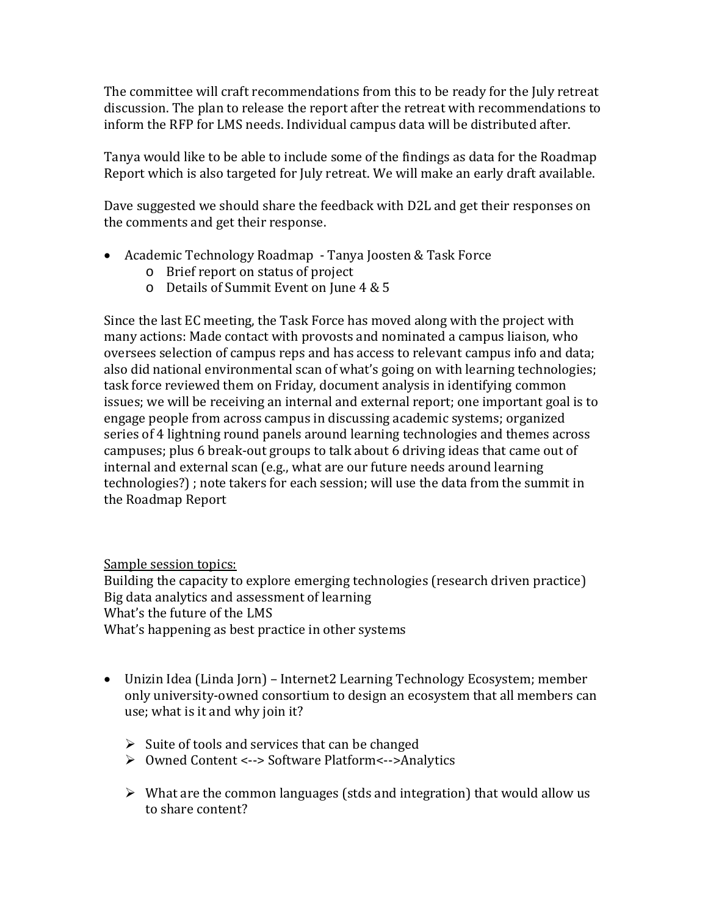The committee will craft recommendations from this to be ready for the July retreat discussion. The plan to release the report after the retreat with recommendations to inform the RFP for LMS needs. Individual campus data will be distributed after.

Tanya would like to be able to include some of the findings as data for the Roadmap Report which is also targeted for July retreat. We will make an early draft available.

Dave suggested we should share the feedback with D2L and get their responses on the comments and get their response.

- Academic Technology Roadmap Tanya Joosten & Task Force
	- o Brief report on status of project
	- o Details of Summit Event on June 4 & 5

Since the last EC meeting, the Task Force has moved along with the project with many actions: Made contact with provosts and nominated a campus liaison, who oversees selection of campus reps and has access to relevant campus info and data; also did national environmental scan of what's going on with learning technologies; task force reviewed them on Friday, document analysis in identifying common issues; we will be receiving an internal and external report; one important goal is to engage people from across campus in discussing academic systems; organized series of 4 lightning round panels around learning technologies and themes across campuses; plus 6 break-out groups to talk about 6 driving ideas that came out of internal and external scan (e.g., what are our future needs around learning technologies?) ; note takers for each session; will use the data from the summit in the Roadmap Report

Sample session topics:

Building the capacity to explore emerging technologies (research driven practice) Big data analytics and assessment of learning What's the future of the LMS What's happening as best practice in other systems

- Unizin Idea (Linda Jorn) Internet2 Learning Technology Ecosystem; member only university-owned consortium to design an ecosystem that all members can use; what is it and why join it?
	- $\triangleright$  Suite of tools and services that can be changed
	- Owned Content <--> Software Platform<-->Analytics
	- $\triangleright$  What are the common languages (stds and integration) that would allow us to share content?